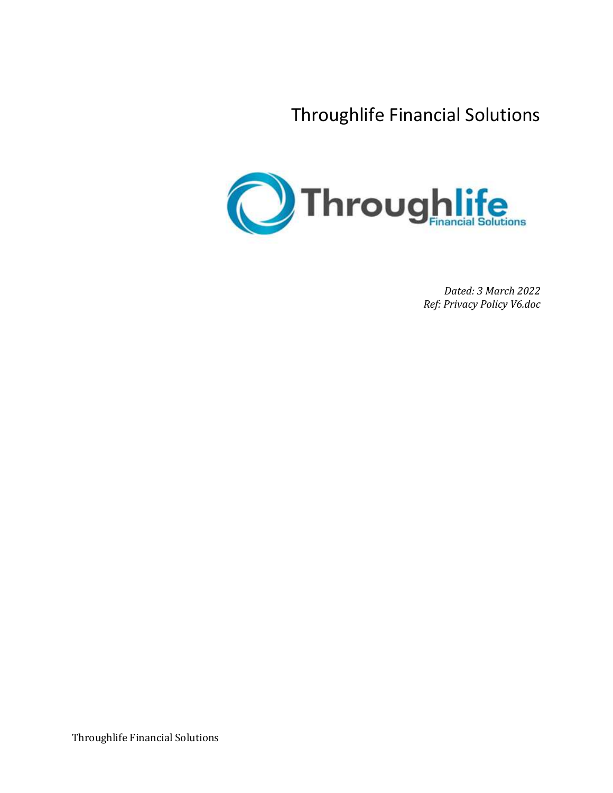Throughlife Financial Solutions



*Dated: 3 March 2022 Ref: Privacy Policy V6.doc*

Throughlife Financial Solutions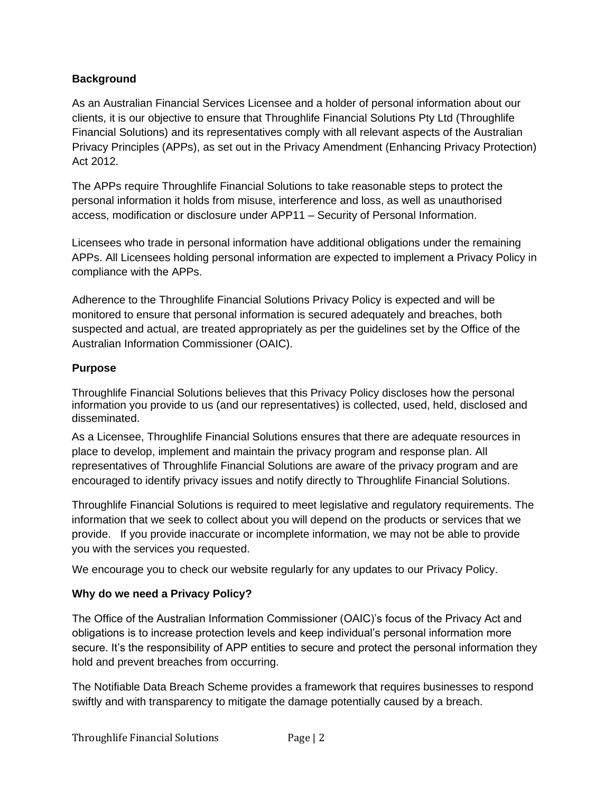### **Background**

As an Australian Financial Services Licensee and a holder of personal information about our clients, it is our objective to ensure that Throughlife Financial Solutions Pty Ltd (Throughlife Financial Solutions) and its representatives comply with all relevant aspects of the Australian Privacy Principles (APPs), as set out in the Privacy Amendment (Enhancing Privacy Protection) Act 2012.

The APPs require Throughlife Financial Solutions to take reasonable steps to protect the personal information it holds from misuse, interference and loss, as well as unauthorised access, modification or disclosure under APP11 – Security of Personal Information.

Licensees who trade in personal information have additional obligations under the remaining APPs. All Licensees holding personal information are expected to implement a Privacy Policy in compliance with the APPs.

Adherence to the Throughlife Financial Solutions Privacy Policy is expected and will be monitored to ensure that personal information is secured adequately and breaches, both suspected and actual, are treated appropriately as per the guidelines set by the Office of the Australian Information Commissioner (OAIC).

### **Purpose**

Throughlife Financial Solutions believes that this Privacy Policy discloses how the personal information you provide to us (and our representatives) is collected, used, held, disclosed and disseminated.

As a Licensee, Throughlife Financial Solutions ensures that there are adequate resources in place to develop, implement and maintain the privacy program and response plan. All representatives of Throughlife Financial Solutions are aware of the privacy program and are encouraged to identify privacy issues and notify directly to Throughlife Financial Solutions.

Throughlife Financial Solutions is required to meet legislative and regulatory requirements. The information that we seek to collect about you will depend on the products or services that we provide. If you provide inaccurate or incomplete information, we may not be able to provide you with the services you requested.

We encourage you to check our website regularly for any updates to our Privacy Policy.

# **Why do we need a Privacy Policy?**

The Office of the Australian Information Commissioner (OAIC)'s focus of the Privacy Act and obligations is to increase protection levels and keep individual's personal information more secure. It's the responsibility of APP entities to secure and protect the personal information they hold and prevent breaches from occurring.

The Notifiable Data Breach Scheme provides a framework that requires businesses to respond swiftly and with transparency to mitigate the damage potentially caused by a breach.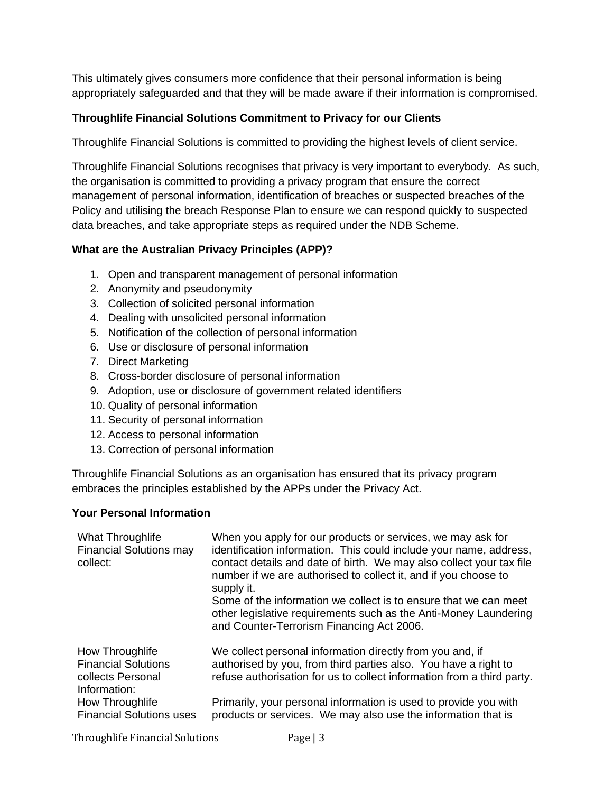This ultimately gives consumers more confidence that their personal information is being appropriately safeguarded and that they will be made aware if their information is compromised.

#### **Throughlife Financial Solutions Commitment to Privacy for our Clients**

Throughlife Financial Solutions is committed to providing the highest levels of client service.

Throughlife Financial Solutions recognises that privacy is very important to everybody. As such, the organisation is committed to providing a privacy program that ensure the correct management of personal information, identification of breaches or suspected breaches of the Policy and utilising the breach Response Plan to ensure we can respond quickly to suspected data breaches, and take appropriate steps as required under the NDB Scheme.

#### **What are the Australian Privacy Principles (APP)?**

- 1. Open and transparent management of personal information
- 2. Anonymity and pseudonymity
- 3. Collection of solicited personal information
- 4. Dealing with unsolicited personal information
- 5. Notification of the collection of personal information
- 6. Use or disclosure of personal information
- 7. Direct Marketing
- 8. Cross-border disclosure of personal information
- 9. Adoption, use or disclosure of government related identifiers
- 10. Quality of personal information
- 11. Security of personal information
- 12. Access to personal information
- 13. Correction of personal information

Throughlife Financial Solutions as an organisation has ensured that its privacy program embraces the principles established by the APPs under the Privacy Act.

#### **Your Personal Information**

| What Throughlife<br><b>Financial Solutions may</b><br>collect:                     | When you apply for our products or services, we may ask for<br>identification information. This could include your name, address,<br>contact details and date of birth. We may also collect your tax file<br>number if we are authorised to collect it, and if you choose to<br>supply it.<br>Some of the information we collect is to ensure that we can meet<br>other legislative requirements such as the Anti-Money Laundering<br>and Counter-Terrorism Financing Act 2006. |
|------------------------------------------------------------------------------------|---------------------------------------------------------------------------------------------------------------------------------------------------------------------------------------------------------------------------------------------------------------------------------------------------------------------------------------------------------------------------------------------------------------------------------------------------------------------------------|
| How Throughlife<br><b>Financial Solutions</b><br>collects Personal<br>Information: | We collect personal information directly from you and, if<br>authorised by you, from third parties also. You have a right to<br>refuse authorisation for us to collect information from a third party.                                                                                                                                                                                                                                                                          |
| How Throughlife<br><b>Financial Solutions uses</b>                                 | Primarily, your personal information is used to provide you with<br>products or services. We may also use the information that is                                                                                                                                                                                                                                                                                                                                               |

Throughlife Financial Solutions Page | 3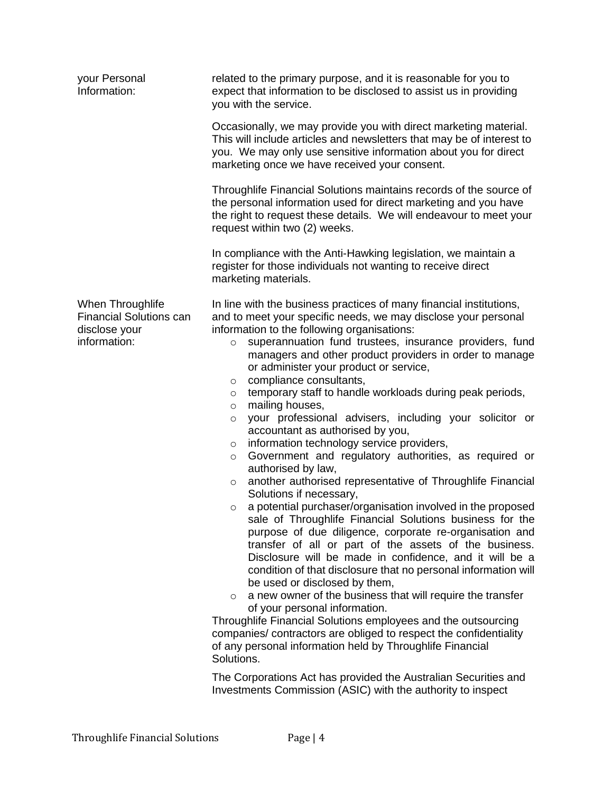| your Personal<br>Information:                                                       | related to the primary purpose, and it is reasonable for you to<br>expect that information to be disclosed to assist us in providing<br>you with the service.                                                                                                                                                                                                                                                                                                                                                                                                                                                                                                                                                                                                                                                                                                                                                                                                                                                                                                                                                                                                                                                                                                                                                                                                                                                                                                                                                                                                                                                                  |
|-------------------------------------------------------------------------------------|--------------------------------------------------------------------------------------------------------------------------------------------------------------------------------------------------------------------------------------------------------------------------------------------------------------------------------------------------------------------------------------------------------------------------------------------------------------------------------------------------------------------------------------------------------------------------------------------------------------------------------------------------------------------------------------------------------------------------------------------------------------------------------------------------------------------------------------------------------------------------------------------------------------------------------------------------------------------------------------------------------------------------------------------------------------------------------------------------------------------------------------------------------------------------------------------------------------------------------------------------------------------------------------------------------------------------------------------------------------------------------------------------------------------------------------------------------------------------------------------------------------------------------------------------------------------------------------------------------------------------------|
|                                                                                     | Occasionally, we may provide you with direct marketing material.<br>This will include articles and newsletters that may be of interest to<br>you. We may only use sensitive information about you for direct<br>marketing once we have received your consent.                                                                                                                                                                                                                                                                                                                                                                                                                                                                                                                                                                                                                                                                                                                                                                                                                                                                                                                                                                                                                                                                                                                                                                                                                                                                                                                                                                  |
|                                                                                     | Throughlife Financial Solutions maintains records of the source of<br>the personal information used for direct marketing and you have<br>the right to request these details. We will endeavour to meet your<br>request within two (2) weeks.                                                                                                                                                                                                                                                                                                                                                                                                                                                                                                                                                                                                                                                                                                                                                                                                                                                                                                                                                                                                                                                                                                                                                                                                                                                                                                                                                                                   |
|                                                                                     | In compliance with the Anti-Hawking legislation, we maintain a<br>register for those individuals not wanting to receive direct<br>marketing materials.                                                                                                                                                                                                                                                                                                                                                                                                                                                                                                                                                                                                                                                                                                                                                                                                                                                                                                                                                                                                                                                                                                                                                                                                                                                                                                                                                                                                                                                                         |
| When Throughlife<br><b>Financial Solutions can</b><br>disclose your<br>information: | In line with the business practices of many financial institutions,<br>and to meet your specific needs, we may disclose your personal<br>information to the following organisations:<br>superannuation fund trustees, insurance providers, fund<br>$\circ$<br>managers and other product providers in order to manage<br>or administer your product or service,<br>compliance consultants,<br>$\circ$<br>temporary staff to handle workloads during peak periods,<br>$\circ$<br>mailing houses,<br>$\circ$<br>your professional advisers, including your solicitor or<br>$\circ$<br>accountant as authorised by you,<br>information technology service providers,<br>$\circ$<br>Government and regulatory authorities, as required or<br>$\circ$<br>authorised by law,<br>another authorised representative of Throughlife Financial<br>$\circ$<br>Solutions if necessary,<br>a potential purchaser/organisation involved in the proposed<br>$\circ$<br>sale of Throughlife Financial Solutions business for the<br>purpose of due diligence, corporate re-organisation and<br>transfer of all or part of the assets of the business.<br>Disclosure will be made in confidence, and it will be a<br>condition of that disclosure that no personal information will<br>be used or disclosed by them,<br>a new owner of the business that will require the transfer<br>$\circ$<br>of your personal information.<br>Throughlife Financial Solutions employees and the outsourcing<br>companies/ contractors are obliged to respect the confidentiality<br>of any personal information held by Throughlife Financial<br>Solutions. |

The Corporations Act has provided the Australian Securities and Investments Commission (ASIC) with the authority to inspect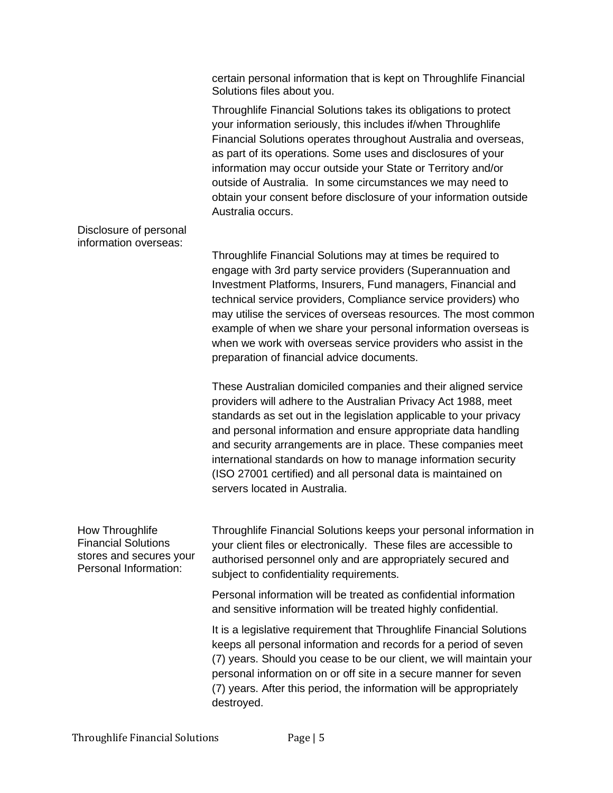certain personal information that is kept on Throughlife Financial Solutions files about you.

Throughlife Financial Solutions takes its obligations to protect your information seriously, this includes if/when Throughlife Financial Solutions operates throughout Australia and overseas, as part of its operations. Some uses and disclosures of your information may occur outside your State or Territory and/or outside of Australia. In some circumstances we may need to obtain your consent before disclosure of your information outside Australia occurs.

Disclosure of personal information overseas:

> Throughlife Financial Solutions may at times be required to engage with 3rd party service providers (Superannuation and Investment Platforms, Insurers, Fund managers, Financial and technical service providers, Compliance service providers) who may utilise the services of overseas resources. The most common example of when we share your personal information overseas is when we work with overseas service providers who assist in the preparation of financial advice documents.

These Australian domiciled companies and their aligned service providers will adhere to the Australian Privacy Act 1988, meet standards as set out in the legislation applicable to your privacy and personal information and ensure appropriate data handling and security arrangements are in place. These companies meet international standards on how to manage information security (ISO 27001 certified) and all personal data is maintained on servers located in Australia.

How Throughlife Financial Solutions stores and secures your Personal Information:

Throughlife Financial Solutions keeps your personal information in your client files or electronically. These files are accessible to authorised personnel only and are appropriately secured and subject to confidentiality requirements.

Personal information will be treated as confidential information and sensitive information will be treated highly confidential.

It is a legislative requirement that Throughlife Financial Solutions keeps all personal information and records for a period of seven (7) years. Should you cease to be our client, we will maintain your personal information on or off site in a secure manner for seven (7) years. After this period, the information will be appropriately destroyed.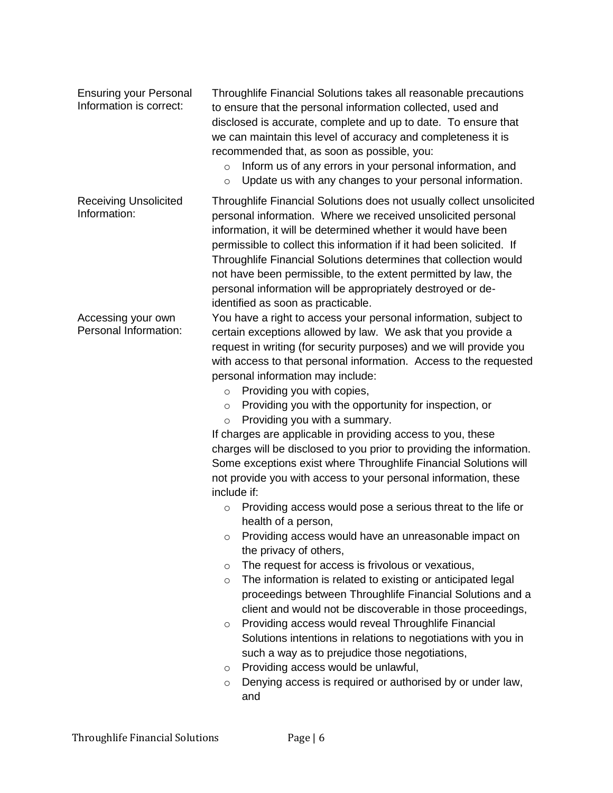Ensuring your Personal Information is correct: Throughlife Financial Solutions takes all reasonable precautions to ensure that the personal information collected, used and disclosed is accurate, complete and up to date. To ensure that we can maintain this level of accuracy and completeness it is recommended that, as soon as possible, you: o Inform us of any errors in your personal information, and o Update us with any changes to your personal information. Receiving Unsolicited Information: Throughlife Financial Solutions does not usually collect unsolicited personal information. Where we received unsolicited personal information, it will be determined whether it would have been permissible to collect this information if it had been solicited. If Throughlife Financial Solutions determines that collection would not have been permissible, to the extent permitted by law, the personal information will be appropriately destroyed or deidentified as soon as practicable. Accessing your own Personal Information: You have a right to access your personal information, subject to certain exceptions allowed by law. We ask that you provide a request in writing (for security purposes) and we will provide you with access to that personal information. Access to the requested personal information may include: o Providing you with copies, o Providing you with the opportunity for inspection, or o Providing you with a summary. If charges are applicable in providing access to you, these charges will be disclosed to you prior to providing the information. Some exceptions exist where Throughlife Financial Solutions will not provide you with access to your personal information, these include if: o Providing access would pose a serious threat to the life or health of a person, o Providing access would have an unreasonable impact on the privacy of others, o The request for access is frivolous or vexatious, o The information is related to existing or anticipated legal proceedings between Throughlife Financial Solutions and a client and would not be discoverable in those proceedings, o Providing access would reveal Throughlife Financial Solutions intentions in relations to negotiations with you in such a way as to prejudice those negotiations, o Providing access would be unlawful, o Denying access is required or authorised by or under law, and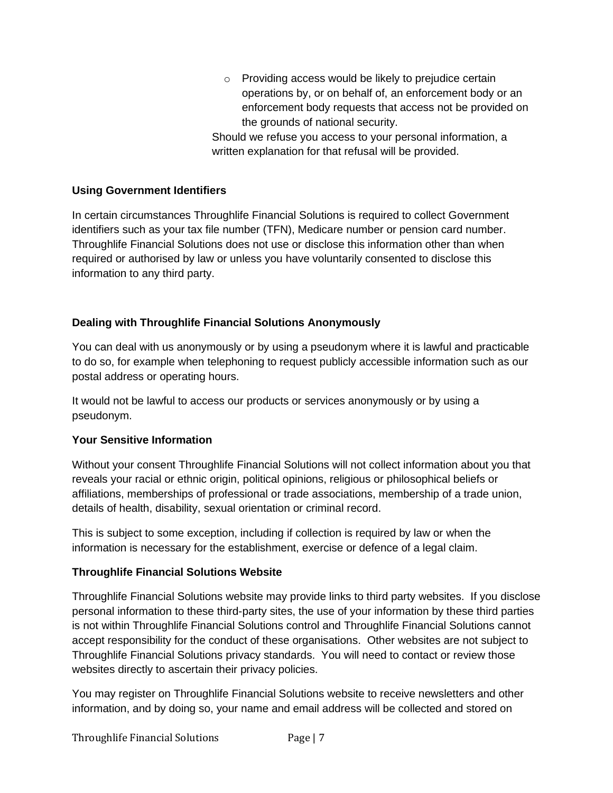o Providing access would be likely to prejudice certain operations by, or on behalf of, an enforcement body or an enforcement body requests that access not be provided on the grounds of national security.

Should we refuse you access to your personal information, a written explanation for that refusal will be provided.

#### **Using Government Identifiers**

In certain circumstances Throughlife Financial Solutions is required to collect Government identifiers such as your tax file number (TFN), Medicare number or pension card number. Throughlife Financial Solutions does not use or disclose this information other than when required or authorised by law or unless you have voluntarily consented to disclose this information to any third party.

#### **Dealing with Throughlife Financial Solutions Anonymously**

You can deal with us anonymously or by using a pseudonym where it is lawful and practicable to do so, for example when telephoning to request publicly accessible information such as our postal address or operating hours.

It would not be lawful to access our products or services anonymously or by using a pseudonym.

#### **Your Sensitive Information**

Without your consent Throughlife Financial Solutions will not collect information about you that reveals your racial or ethnic origin, political opinions, religious or philosophical beliefs or affiliations, memberships of professional or trade associations, membership of a trade union, details of health, disability, sexual orientation or criminal record.

This is subject to some exception, including if collection is required by law or when the information is necessary for the establishment, exercise or defence of a legal claim.

### **Throughlife Financial Solutions Website**

Throughlife Financial Solutions website may provide links to third party websites. If you disclose personal information to these third-party sites, the use of your information by these third parties is not within Throughlife Financial Solutions control and Throughlife Financial Solutions cannot accept responsibility for the conduct of these organisations. Other websites are not subject to Throughlife Financial Solutions privacy standards. You will need to contact or review those websites directly to ascertain their privacy policies.

You may register on Throughlife Financial Solutions website to receive newsletters and other information, and by doing so, your name and email address will be collected and stored on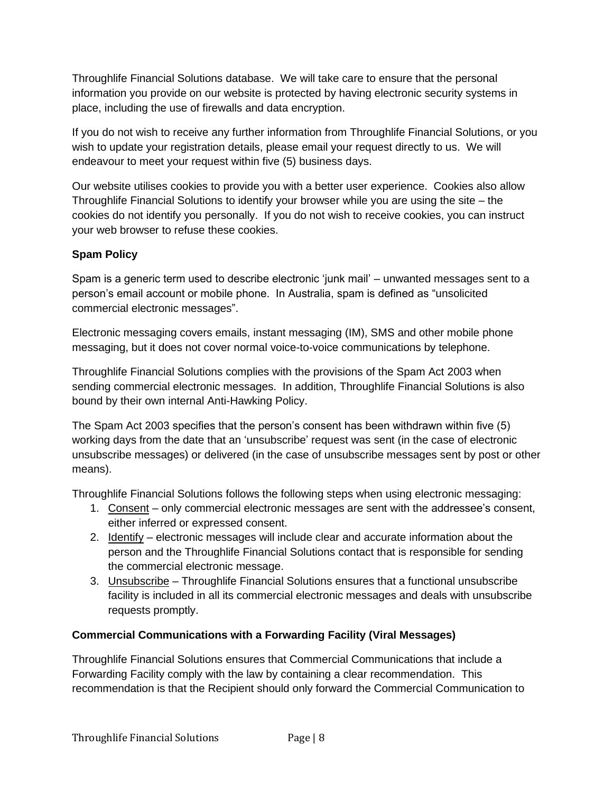Throughlife Financial Solutions database. We will take care to ensure that the personal information you provide on our website is protected by having electronic security systems in place, including the use of firewalls and data encryption.

If you do not wish to receive any further information from Throughlife Financial Solutions, or you wish to update your registration details, please email your request directly to us. We will endeavour to meet your request within five (5) business days.

Our website utilises cookies to provide you with a better user experience. Cookies also allow Throughlife Financial Solutions to identify your browser while you are using the site – the cookies do not identify you personally. If you do not wish to receive cookies, you can instruct your web browser to refuse these cookies.

### **Spam Policy**

Spam is a generic term used to describe electronic 'junk mail' – unwanted messages sent to a person's email account or mobile phone. In Australia, spam is defined as "unsolicited commercial electronic messages".

Electronic messaging covers emails, instant messaging (IM), SMS and other mobile phone messaging, but it does not cover normal voice-to-voice communications by telephone.

Throughlife Financial Solutions complies with the provisions of the Spam Act 2003 when sending commercial electronic messages. In addition, Throughlife Financial Solutions is also bound by their own internal Anti-Hawking Policy.

The Spam Act 2003 specifies that the person's consent has been withdrawn within five (5) working days from the date that an 'unsubscribe' request was sent (in the case of electronic unsubscribe messages) or delivered (in the case of unsubscribe messages sent by post or other means).

Throughlife Financial Solutions follows the following steps when using electronic messaging:

- 1. Consent only commercial electronic messages are sent with the addressee's consent, either inferred or expressed consent.
- 2. Identify electronic messages will include clear and accurate information about the person and the Throughlife Financial Solutions contact that is responsible for sending the commercial electronic message.
- 3. Unsubscribe Throughlife Financial Solutions ensures that a functional unsubscribe facility is included in all its commercial electronic messages and deals with unsubscribe requests promptly.

# **Commercial Communications with a Forwarding Facility (Viral Messages)**

Throughlife Financial Solutions ensures that Commercial Communications that include a Forwarding Facility comply with the law by containing a clear recommendation. This recommendation is that the Recipient should only forward the Commercial Communication to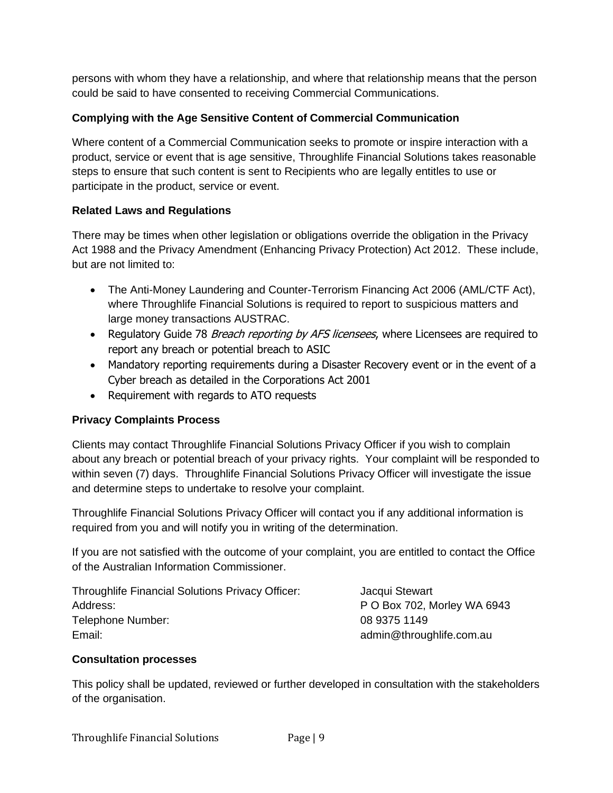persons with whom they have a relationship, and where that relationship means that the person could be said to have consented to receiving Commercial Communications.

### **Complying with the Age Sensitive Content of Commercial Communication**

Where content of a Commercial Communication seeks to promote or inspire interaction with a product, service or event that is age sensitive, Throughlife Financial Solutions takes reasonable steps to ensure that such content is sent to Recipients who are legally entitles to use or participate in the product, service or event.

### **Related Laws and Regulations**

There may be times when other legislation or obligations override the obligation in the Privacy Act 1988 and the Privacy Amendment (Enhancing Privacy Protection) Act 2012. These include, but are not limited to:

- The Anti-Money Laundering and Counter-Terrorism Financing Act 2006 (AML/CTF Act), where Throughlife Financial Solutions is required to report to suspicious matters and large money transactions AUSTRAC.
- Regulatory Guide 78 Breach reporting by AFS licensees, where Licensees are required to report any breach or potential breach to ASIC
- Mandatory reporting requirements during a Disaster Recovery event or in the event of a Cyber breach as detailed in the Corporations Act 2001
- Requirement with regards to ATO requests

### **Privacy Complaints Process**

Clients may contact Throughlife Financial Solutions Privacy Officer if you wish to complain about any breach or potential breach of your privacy rights. Your complaint will be responded to within seven (7) days. Throughlife Financial Solutions Privacy Officer will investigate the issue and determine steps to undertake to resolve your complaint.

Throughlife Financial Solutions Privacy Officer will contact you if any additional information is required from you and will notify you in writing of the determination.

If you are not satisfied with the outcome of your complaint, you are entitled to contact the Office of the Australian Information Commissioner.

| <b>Throughlife Financial Solutions Privacy Officer:</b> | Jacqui Stewart              |
|---------------------------------------------------------|-----------------------------|
| Address:                                                | P O Box 702, Morley WA 6943 |
| Telephone Number:                                       | 08 9375 1149                |
| Email:                                                  | admin@throughlife.com.au    |

### **Consultation processes**

This policy shall be updated, reviewed or further developed in consultation with the stakeholders of the organisation.